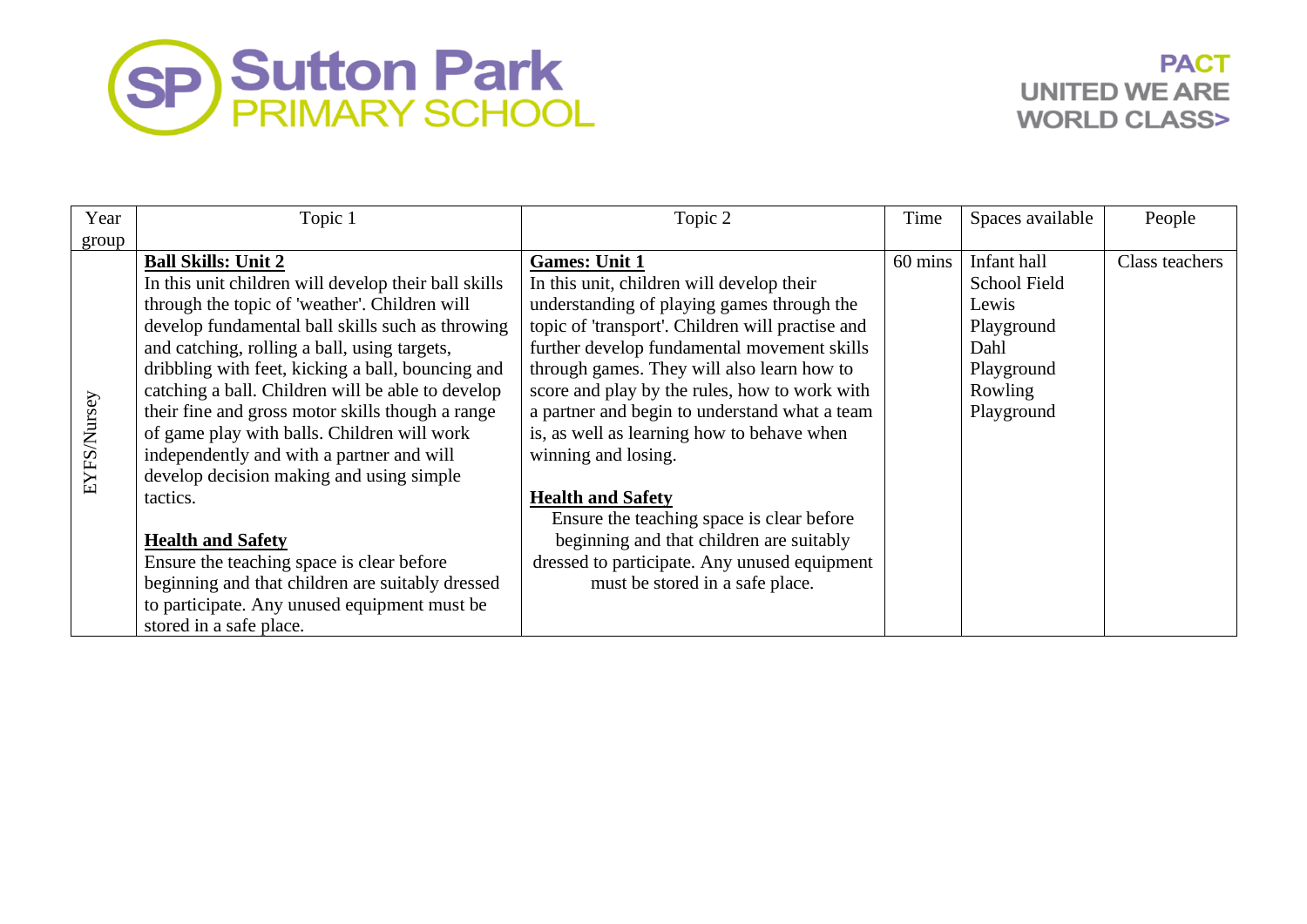## SP Sutton Park

## **PACT UNITED WE ARE WORLD CLASS>**

| Year        | Topic 1                                                                                                                                                                                                                                                                                                                                                                                                                                                                                                                                                                                                                                                                                                                                                           | Topic 2                                                                                                                                                                                                                                                                                                                                                                                                                                                                                                                                                                                                                                         | Time    | Spaces available                                                                                  | People         |
|-------------|-------------------------------------------------------------------------------------------------------------------------------------------------------------------------------------------------------------------------------------------------------------------------------------------------------------------------------------------------------------------------------------------------------------------------------------------------------------------------------------------------------------------------------------------------------------------------------------------------------------------------------------------------------------------------------------------------------------------------------------------------------------------|-------------------------------------------------------------------------------------------------------------------------------------------------------------------------------------------------------------------------------------------------------------------------------------------------------------------------------------------------------------------------------------------------------------------------------------------------------------------------------------------------------------------------------------------------------------------------------------------------------------------------------------------------|---------|---------------------------------------------------------------------------------------------------|----------------|
| group       |                                                                                                                                                                                                                                                                                                                                                                                                                                                                                                                                                                                                                                                                                                                                                                   |                                                                                                                                                                                                                                                                                                                                                                                                                                                                                                                                                                                                                                                 |         |                                                                                                   |                |
| EYFS/Nursey | <b>Ball Skills: Unit 2</b><br>In this unit children will develop their ball skills<br>through the topic of 'weather'. Children will<br>develop fundamental ball skills such as throwing<br>and catching, rolling a ball, using targets,<br>dribbling with feet, kicking a ball, bouncing and<br>catching a ball. Children will be able to develop<br>their fine and gross motor skills though a range<br>of game play with balls. Children will work<br>independently and with a partner and will<br>develop decision making and using simple<br>tactics.<br><b>Health and Safety</b><br>Ensure the teaching space is clear before<br>beginning and that children are suitably dressed<br>to participate. Any unused equipment must be<br>stored in a safe place. | <b>Games: Unit 1</b><br>In this unit, children will develop their<br>understanding of playing games through the<br>topic of 'transport'. Children will practise and<br>further develop fundamental movement skills<br>through games. They will also learn how to<br>score and play by the rules, how to work with<br>a partner and begin to understand what a team<br>is, as well as learning how to behave when<br>winning and losing.<br><b>Health and Safety</b><br>Ensure the teaching space is clear before<br>beginning and that children are suitably<br>dressed to participate. Any unused equipment<br>must be stored in a safe place. | 60 mins | Infant hall<br>School Field<br>Lewis<br>Playground<br>Dahl<br>Playground<br>Rowling<br>Playground | Class teachers |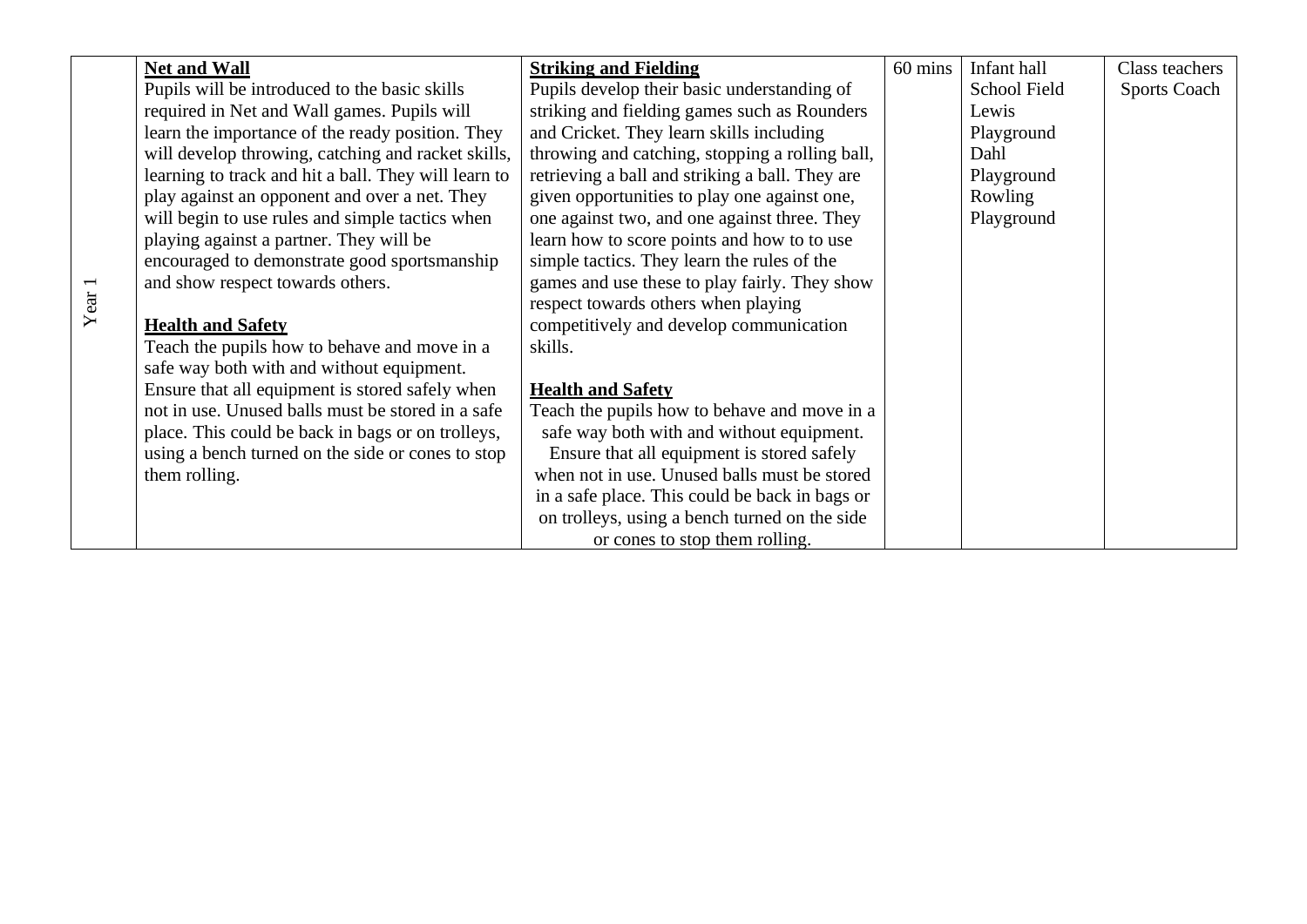|          | <b>Net and Wall</b>                                  | <b>Striking and Fielding</b>                    | 60 mins | Infant hall  | Class teachers      |
|----------|------------------------------------------------------|-------------------------------------------------|---------|--------------|---------------------|
|          | Pupils will be introduced to the basic skills        | Pupils develop their basic understanding of     |         | School Field | <b>Sports Coach</b> |
|          | required in Net and Wall games. Pupils will          | striking and fielding games such as Rounders    |         | Lewis        |                     |
|          | learn the importance of the ready position. They     | and Cricket. They learn skills including        |         | Playground   |                     |
|          | will develop throwing, catching and racket skills,   | throwing and catching, stopping a rolling ball, |         | Dahl         |                     |
|          | learning to track and hit a ball. They will learn to | retrieving a ball and striking a ball. They are |         | Playground   |                     |
|          | play against an opponent and over a net. They        | given opportunities to play one against one,    |         | Rowling      |                     |
|          | will begin to use rules and simple tactics when      | one against two, and one against three. They    |         | Playground   |                     |
|          | playing against a partner. They will be              | learn how to score points and how to to use     |         |              |                     |
|          | encouraged to demonstrate good sportsmanship         | simple tactics. They learn the rules of the     |         |              |                     |
|          | and show respect towards others.                     | games and use these to play fairly. They show   |         |              |                     |
| Year $1$ |                                                      | respect towards others when playing             |         |              |                     |
|          | <b>Health and Safety</b>                             | competitively and develop communication         |         |              |                     |
|          | Teach the pupils how to behave and move in a         | skills.                                         |         |              |                     |
|          | safe way both with and without equipment.            |                                                 |         |              |                     |
|          | Ensure that all equipment is stored safely when      | <b>Health and Safety</b>                        |         |              |                     |
|          | not in use. Unused balls must be stored in a safe    | Teach the pupils how to behave and move in a    |         |              |                     |
|          | place. This could be back in bags or on trolleys,    | safe way both with and without equipment.       |         |              |                     |
|          | using a bench turned on the side or cones to stop    | Ensure that all equipment is stored safely      |         |              |                     |
|          | them rolling.                                        | when not in use. Unused balls must be stored    |         |              |                     |
|          |                                                      | in a safe place. This could be back in bags or  |         |              |                     |
|          |                                                      | on trolleys, using a bench turned on the side   |         |              |                     |
|          |                                                      | or cones to stop them rolling.                  |         |              |                     |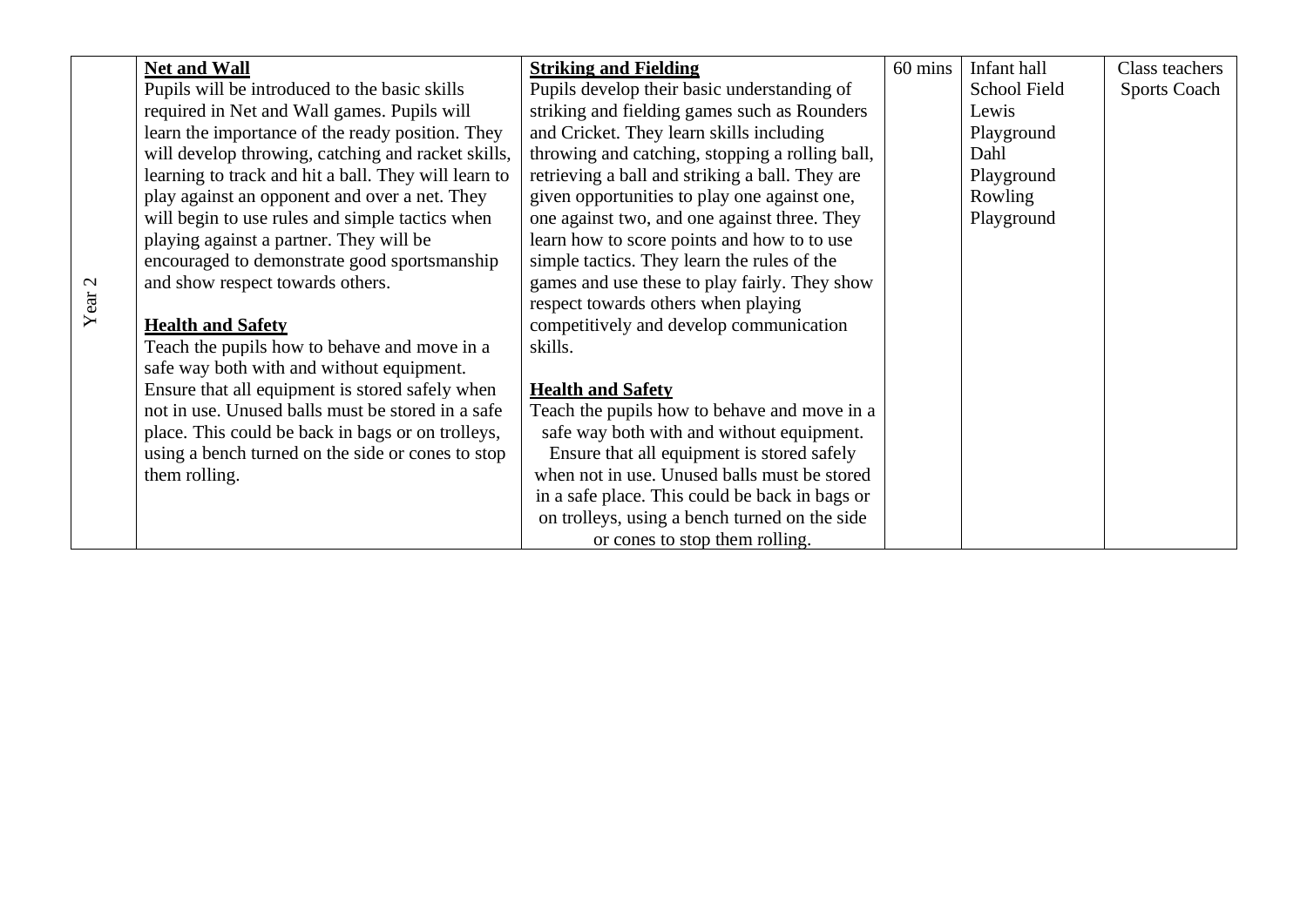|                   | <b>Net and Wall</b>                                  | <b>Striking and Fielding</b>                    | 60 mins | Infant hall  | Class teachers      |
|-------------------|------------------------------------------------------|-------------------------------------------------|---------|--------------|---------------------|
|                   | Pupils will be introduced to the basic skills        | Pupils develop their basic understanding of     |         | School Field | <b>Sports Coach</b> |
|                   | required in Net and Wall games. Pupils will          | striking and fielding games such as Rounders    |         | Lewis        |                     |
|                   | learn the importance of the ready position. They     | and Cricket. They learn skills including        |         | Playground   |                     |
|                   | will develop throwing, catching and racket skills,   | throwing and catching, stopping a rolling ball, |         | Dahl         |                     |
|                   | learning to track and hit a ball. They will learn to | retrieving a ball and striking a ball. They are |         | Playground   |                     |
|                   | play against an opponent and over a net. They        | given opportunities to play one against one,    |         | Rowling      |                     |
|                   | will begin to use rules and simple tactics when      | one against two, and one against three. They    |         | Playground   |                     |
|                   | playing against a partner. They will be              | learn how to score points and how to to use     |         |              |                     |
|                   | encouraged to demonstrate good sportsmanship         | simple tactics. They learn the rules of the     |         |              |                     |
|                   | and show respect towards others.                     | games and use these to play fairly. They show   |         |              |                     |
| Year <sub>2</sub> |                                                      | respect towards others when playing             |         |              |                     |
|                   | <b>Health and Safety</b>                             | competitively and develop communication         |         |              |                     |
|                   | Teach the pupils how to behave and move in a         | skills.                                         |         |              |                     |
|                   | safe way both with and without equipment.            |                                                 |         |              |                     |
|                   | Ensure that all equipment is stored safely when      | <b>Health and Safety</b>                        |         |              |                     |
|                   | not in use. Unused balls must be stored in a safe    | Teach the pupils how to behave and move in a    |         |              |                     |
|                   | place. This could be back in bags or on trolleys,    | safe way both with and without equipment.       |         |              |                     |
|                   | using a bench turned on the side or cones to stop    | Ensure that all equipment is stored safely      |         |              |                     |
|                   | them rolling.                                        | when not in use. Unused balls must be stored    |         |              |                     |
|                   |                                                      | in a safe place. This could be back in bags or  |         |              |                     |
|                   |                                                      | on trolleys, using a bench turned on the side   |         |              |                     |
|                   |                                                      | or cones to stop them rolling.                  |         |              |                     |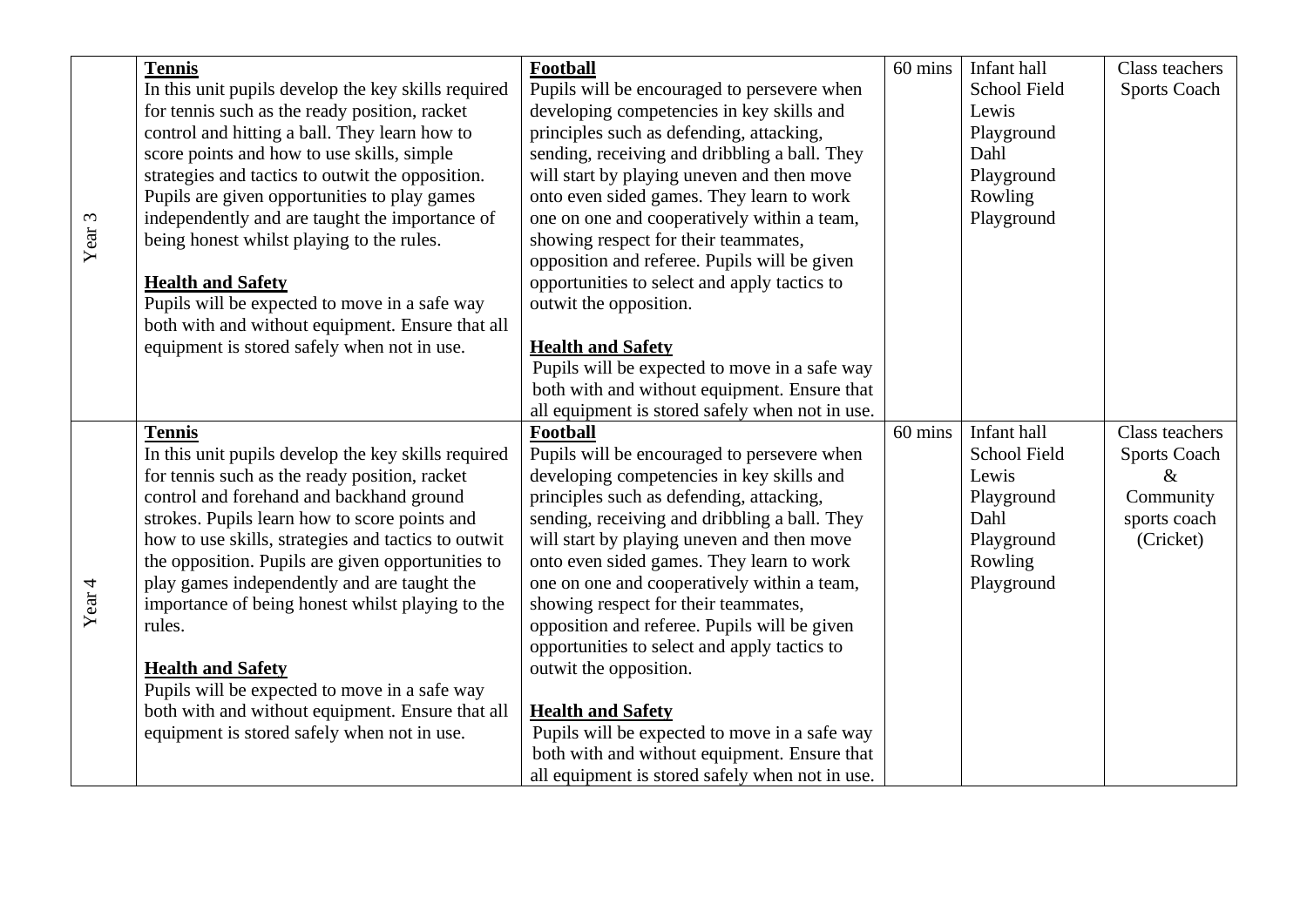| Year <sub>3</sub> | <b>Tennis</b><br>In this unit pupils develop the key skills required<br>for tennis such as the ready position, racket<br>control and hitting a ball. They learn how to<br>score points and how to use skills, simple<br>strategies and tactics to outwit the opposition.<br>Pupils are given opportunities to play games<br>independently and are taught the importance of<br>being honest whilst playing to the rules.<br><b>Health and Safety</b><br>Pupils will be expected to move in a safe way<br>both with and without equipment. Ensure that all<br>equipment is stored safely when not in use.                     | Football<br>Pupils will be encouraged to persevere when<br>developing competencies in key skills and<br>principles such as defending, attacking,<br>sending, receiving and dribbling a ball. They<br>will start by playing uneven and then move<br>onto even sided games. They learn to work<br>one on one and cooperatively within a team,<br>showing respect for their teammates,<br>opposition and referee. Pupils will be given<br>opportunities to select and apply tactics to<br>outwit the opposition.<br><b>Health and Safety</b><br>Pupils will be expected to move in a safe way<br>both with and without equipment. Ensure that                                                                                                       | 60 mins | Infant hall<br>School Field<br>Lewis<br>Playground<br>Dahl<br>Playground<br>Rowling<br>Playground | Class teachers<br><b>Sports Coach</b>                                                   |
|-------------------|-----------------------------------------------------------------------------------------------------------------------------------------------------------------------------------------------------------------------------------------------------------------------------------------------------------------------------------------------------------------------------------------------------------------------------------------------------------------------------------------------------------------------------------------------------------------------------------------------------------------------------|--------------------------------------------------------------------------------------------------------------------------------------------------------------------------------------------------------------------------------------------------------------------------------------------------------------------------------------------------------------------------------------------------------------------------------------------------------------------------------------------------------------------------------------------------------------------------------------------------------------------------------------------------------------------------------------------------------------------------------------------------|---------|---------------------------------------------------------------------------------------------------|-----------------------------------------------------------------------------------------|
| Year $4$          | <b>Tennis</b><br>In this unit pupils develop the key skills required<br>for tennis such as the ready position, racket<br>control and forehand and backhand ground<br>strokes. Pupils learn how to score points and<br>how to use skills, strategies and tactics to outwit<br>the opposition. Pupils are given opportunities to<br>play games independently and are taught the<br>importance of being honest whilst playing to the<br>rules.<br><b>Health and Safety</b><br>Pupils will be expected to move in a safe way<br>both with and without equipment. Ensure that all<br>equipment is stored safely when not in use. | all equipment is stored safely when not in use.<br>Football<br>Pupils will be encouraged to persevere when<br>developing competencies in key skills and<br>principles such as defending, attacking,<br>sending, receiving and dribbling a ball. They<br>will start by playing uneven and then move<br>onto even sided games. They learn to work<br>one on one and cooperatively within a team,<br>showing respect for their teammates,<br>opposition and referee. Pupils will be given<br>opportunities to select and apply tactics to<br>outwit the opposition.<br><b>Health and Safety</b><br>Pupils will be expected to move in a safe way<br>both with and without equipment. Ensure that<br>all equipment is stored safely when not in use. | 60 mins | Infant hall<br>School Field<br>Lewis<br>Playground<br>Dahl<br>Playground<br>Rowling<br>Playground | Class teachers<br><b>Sports Coach</b><br>$\&$<br>Community<br>sports coach<br>(Cricket) |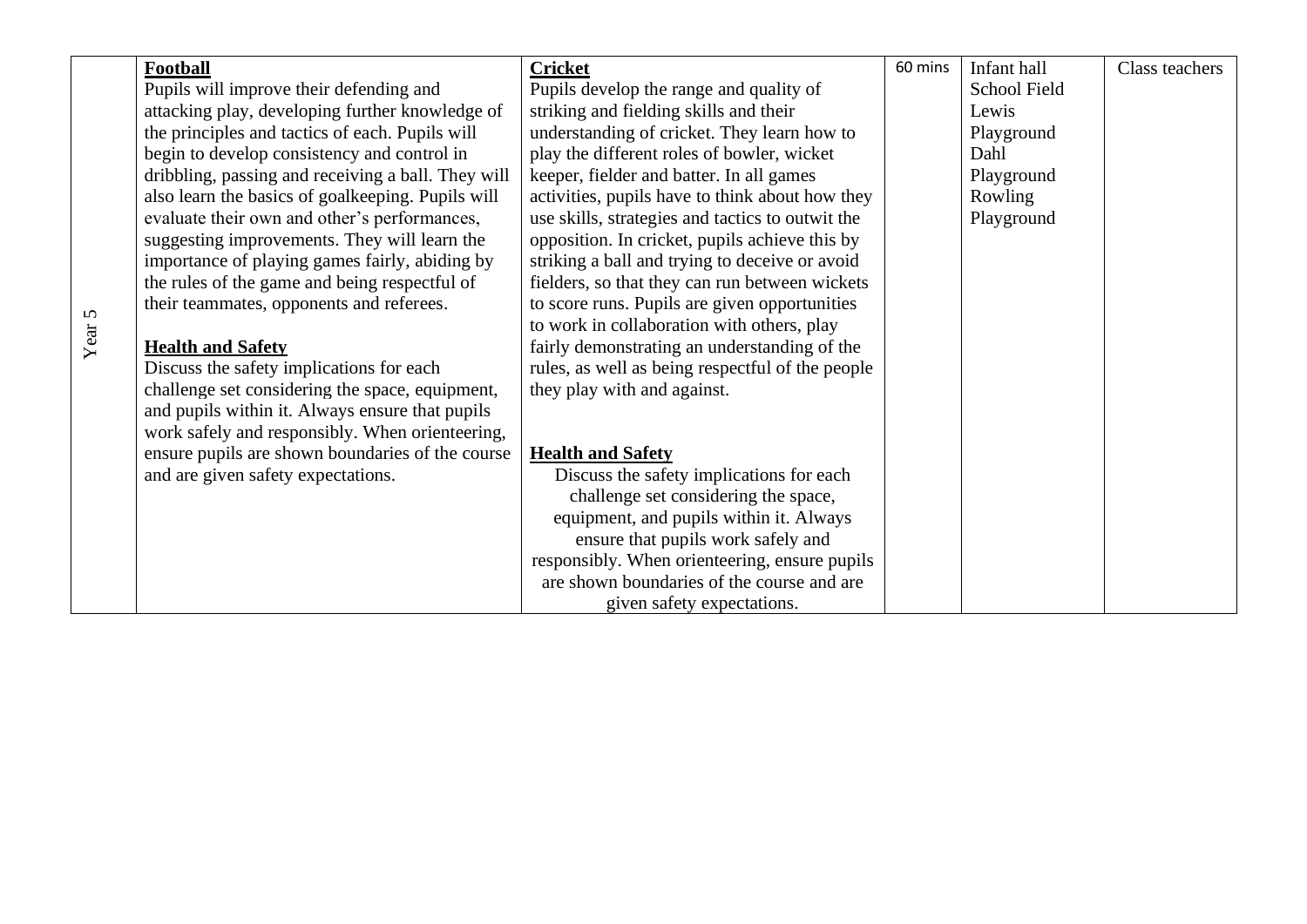|        | Football                                           | <b>Cricket</b>                                   | 60 mins | Infant hall  | Class teachers |
|--------|----------------------------------------------------|--------------------------------------------------|---------|--------------|----------------|
|        | Pupils will improve their defending and            | Pupils develop the range and quality of          |         | School Field |                |
|        | attacking play, developing further knowledge of    | striking and fielding skills and their           |         | Lewis        |                |
|        | the principles and tactics of each. Pupils will    | understanding of cricket. They learn how to      |         | Playground   |                |
|        | begin to develop consistency and control in        | play the different roles of bowler, wicket       |         | Dahl         |                |
|        | dribbling, passing and receiving a ball. They will | keeper, fielder and batter. In all games         |         | Playground   |                |
|        | also learn the basics of goalkeeping. Pupils will  | activities, pupils have to think about how they  |         | Rowling      |                |
|        | evaluate their own and other's performances,       | use skills, strategies and tactics to outwit the |         | Playground   |                |
|        | suggesting improvements. They will learn the       | opposition. In cricket, pupils achieve this by   |         |              |                |
|        | importance of playing games fairly, abiding by     | striking a ball and trying to deceive or avoid   |         |              |                |
|        | the rules of the game and being respectful of      | fielders, so that they can run between wickets   |         |              |                |
|        | their teammates, opponents and referees.           | to score runs. Pupils are given opportunities    |         |              |                |
|        |                                                    | to work in collaboration with others, play       |         |              |                |
| Year 5 | <b>Health and Safety</b>                           | fairly demonstrating an understanding of the     |         |              |                |
|        | Discuss the safety implications for each           | rules, as well as being respectful of the people |         |              |                |
|        | challenge set considering the space, equipment,    | they play with and against.                      |         |              |                |
|        | and pupils within it. Always ensure that pupils    |                                                  |         |              |                |
|        | work safely and responsibly. When orienteering,    |                                                  |         |              |                |
|        | ensure pupils are shown boundaries of the course   | <b>Health and Safety</b>                         |         |              |                |
|        | and are given safety expectations.                 | Discuss the safety implications for each         |         |              |                |
|        |                                                    | challenge set considering the space,             |         |              |                |
|        |                                                    | equipment, and pupils within it. Always          |         |              |                |
|        |                                                    | ensure that pupils work safely and               |         |              |                |
|        |                                                    | responsibly. When orienteering, ensure pupils    |         |              |                |
|        |                                                    | are shown boundaries of the course and are       |         |              |                |
|        |                                                    | given safety expectations.                       |         |              |                |